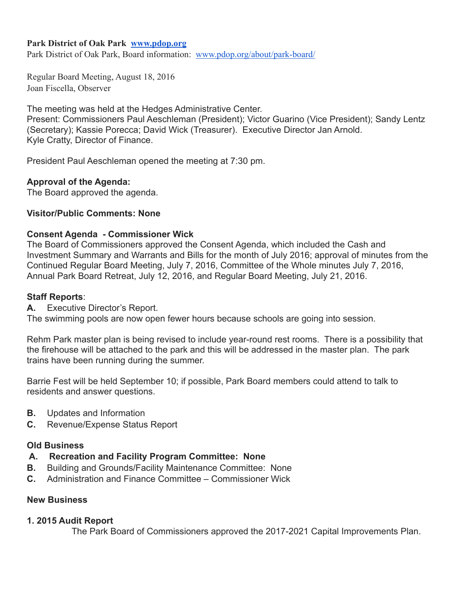#### **Park District of Oak Park [www.pdop.org](http://www.pdop.org/)**

Park District of Oak Park, Board information: [www.pdop.org/about/park-board/](http://www.pdop.org/about/park-board/)

Regular Board Meeting, August 18, 2016 Joan Fiscella, Observer

The meeting was held at the Hedges Administrative Center. Present: Commissioners Paul Aeschleman (President); Victor Guarino (Vice President); Sandy Lentz

(Secretary); Kassie Porecca; David Wick (Treasurer). Executive Director Jan Arnold. Kyle Cratty, Director of Finance.

President Paul Aeschleman opened the meeting at 7:30 pm.

## **Approval of the Agenda:**

The Board approved the agenda.

## **Visitor/Public Comments: None**

## **Consent Agenda - Commissioner Wick**

The Board of Commissioners approved the Consent Agenda, which included the Cash and Investment Summary and Warrants and Bills for the month of July 2016; approval of minutes from the Continued Regular Board Meeting, July 7, 2016, Committee of the Whole minutes July 7, 2016, Annual Park Board Retreat, July 12, 2016, and Regular Board Meeting, July 21, 2016.

#### **Staff Reports**:

**A.** Executive Director's Report.

The swimming pools are now open fewer hours because schools are going into session.

Rehm Park master plan is being revised to include year-round rest rooms. There is a possibility that the firehouse will be attached to the park and this will be addressed in the master plan. The park trains have been running during the summer.

Barrie Fest will be held September 10; if possible, Park Board members could attend to talk to residents and answer questions.

- **B.** Updates and Information
- **C.** Revenue/Expense Status Report

#### **Old Business**

- **A. Recreation and Facility Program Committee: None**
- **B.** Building and Grounds/Facility Maintenance Committee: None
- **C.** Administration and Finance Committee Commissioner Wick

# **New Business**

#### **1. 2015 Audit Report**

The Park Board of Commissioners approved the 2017-2021 Capital Improvements Plan.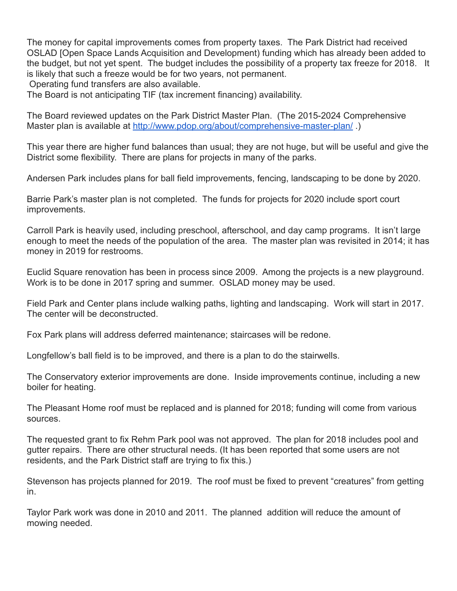The money for capital improvements comes from property taxes. The Park District had received OSLAD [Open Space Lands Acquisition and Development) funding which has already been added to the budget, but not yet spent. The budget includes the possibility of a property tax freeze for 2018. It is likely that such a freeze would be for two years, not permanent. Operating fund transfers are also available.

The Board is not anticipating TIF (tax increment financing) availability.

The Board reviewed updates on the Park District Master Plan. (The 2015-2024 Comprehensive Master plan is available at<http://www.pdop.org/about/comprehensive-master-plan/>.)

This year there are higher fund balances than usual; they are not huge, but will be useful and give the District some flexibility. There are plans for projects in many of the parks.

Andersen Park includes plans for ball field improvements, fencing, landscaping to be done by 2020.

Barrie Park's master plan is not completed. The funds for projects for 2020 include sport court improvements.

Carroll Park is heavily used, including preschool, afterschool, and day camp programs. It isn't large enough to meet the needs of the population of the area. The master plan was revisited in 2014; it has money in 2019 for restrooms.

Euclid Square renovation has been in process since 2009. Among the projects is a new playground. Work is to be done in 2017 spring and summer. OSLAD money may be used.

Field Park and Center plans include walking paths, lighting and landscaping. Work will start in 2017. The center will be deconstructed.

Fox Park plans will address deferred maintenance; staircases will be redone.

Longfellow's ball field is to be improved, and there is a plan to do the stairwells.

The Conservatory exterior improvements are done. Inside improvements continue, including a new boiler for heating.

The Pleasant Home roof must be replaced and is planned for 2018; funding will come from various sources.

The requested grant to fix Rehm Park pool was not approved. The plan for 2018 includes pool and gutter repairs. There are other structural needs. (It has been reported that some users are not residents, and the Park District staff are trying to fix this.)

Stevenson has projects planned for 2019. The roof must be fixed to prevent "creatures" from getting in.

Taylor Park work was done in 2010 and 2011. The planned addition will reduce the amount of mowing needed.